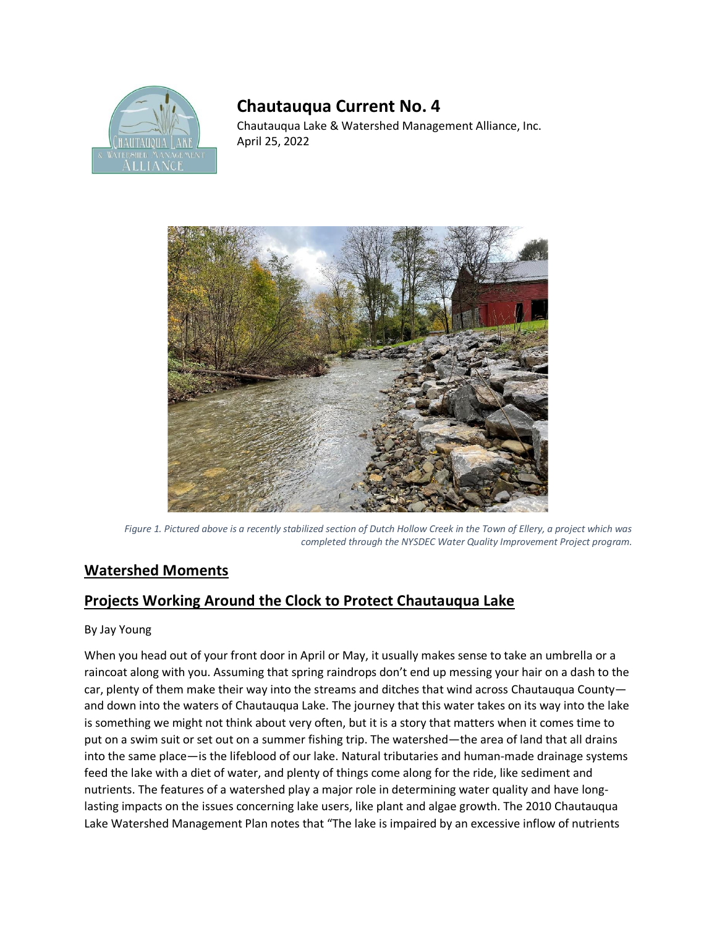

## **Chautauqua Current No. 4**

Chautauqua Lake & Watershed Management Alliance, Inc. April 25, 2022



*Figure 1. Pictured above is a recently stabilized section of Dutch Hollow Creek in the Town of Ellery, a project which was completed through the NYSDEC Water Quality Improvement Project program.* 

## **Watershed Moments**

## **Projects Working Around the Clock to Protect Chautauqua Lake**

## By Jay Young

When you head out of your front door in April or May, it usually makes sense to take an umbrella or a raincoat along with you. Assuming that spring raindrops don't end up messing your hair on a dash to the car, plenty of them make their way into the streams and ditches that wind across Chautauqua County and down into the waters of Chautauqua Lake. The journey that this water takes on its way into the lake is something we might not think about very often, but it is a story that matters when it comes time to put on a swim suit or set out on a summer fishing trip. The watershed—the area of land that all drains into the same place—is the lifeblood of our lake. Natural tributaries and human-made drainage systems feed the lake with a diet of water, and plenty of things come along for the ride, like sediment and nutrients. The features of a watershed play a major role in determining water quality and have longlasting impacts on the issues concerning lake users, like plant and algae growth. The 2010 Chautauqua Lake Watershed Management Plan notes that "The lake is impaired by an excessive inflow of nutrients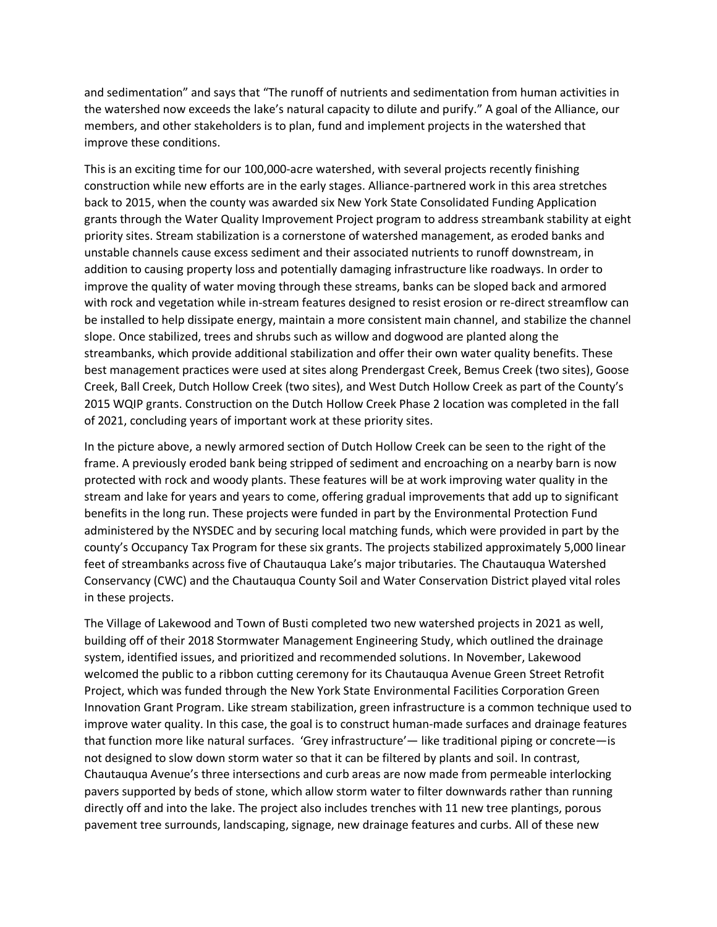and sedimentation" and says that "The runoff of nutrients and sedimentation from human activities in the watershed now exceeds the lake's natural capacity to dilute and purify." A goal of the Alliance, our members, and other stakeholders is to plan, fund and implement projects in the watershed that improve these conditions.

This is an exciting time for our 100,000-acre watershed, with several projects recently finishing construction while new efforts are in the early stages. Alliance-partnered work in this area stretches back to 2015, when the county was awarded six New York State Consolidated Funding Application grants through the Water Quality Improvement Project program to address streambank stability at eight priority sites. Stream stabilization is a cornerstone of watershed management, as eroded banks and unstable channels cause excess sediment and their associated nutrients to runoff downstream, in addition to causing property loss and potentially damaging infrastructure like roadways. In order to improve the quality of water moving through these streams, banks can be sloped back and armored with rock and vegetation while in-stream features designed to resist erosion or re-direct streamflow can be installed to help dissipate energy, maintain a more consistent main channel, and stabilize the channel slope. Once stabilized, trees and shrubs such as willow and dogwood are planted along the streambanks, which provide additional stabilization and offer their own water quality benefits. These best management practices were used at sites along Prendergast Creek, Bemus Creek (two sites), Goose Creek, Ball Creek, Dutch Hollow Creek (two sites), and West Dutch Hollow Creek as part of the County's 2015 WQIP grants. Construction on the Dutch Hollow Creek Phase 2 location was completed in the fall of 2021, concluding years of important work at these priority sites.

In the picture above, a newly armored section of Dutch Hollow Creek can be seen to the right of the frame. A previously eroded bank being stripped of sediment and encroaching on a nearby barn is now protected with rock and woody plants. These features will be at work improving water quality in the stream and lake for years and years to come, offering gradual improvements that add up to significant benefits in the long run. These projects were funded in part by the Environmental Protection Fund administered by the NYSDEC and by securing local matching funds, which were provided in part by the county's Occupancy Tax Program for these six grants. The projects stabilized approximately 5,000 linear feet of streambanks across five of Chautauqua Lake's major tributaries. The Chautauqua Watershed Conservancy (CWC) and the Chautauqua County Soil and Water Conservation District played vital roles in these projects.

The Village of Lakewood and Town of Busti completed two new watershed projects in 2021 as well, building off of their 2018 Stormwater Management Engineering Study, which outlined the drainage system, identified issues, and prioritized and recommended solutions. In November, Lakewood welcomed the public to a ribbon cutting ceremony for its Chautauqua Avenue Green Street Retrofit Project, which was funded through the New York State Environmental Facilities Corporation Green Innovation Grant Program. Like stream stabilization, green infrastructure is a common technique used to improve water quality. In this case, the goal is to construct human-made surfaces and drainage features that function more like natural surfaces. 'Grey infrastructure'— like traditional piping or concrete—is not designed to slow down storm water so that it can be filtered by plants and soil. In contrast, Chautauqua Avenue's three intersections and curb areas are now made from permeable interlocking pavers supported by beds of stone, which allow storm water to filter downwards rather than running directly off and into the lake. The project also includes trenches with 11 new tree plantings, porous pavement tree surrounds, landscaping, signage, new drainage features and curbs. All of these new